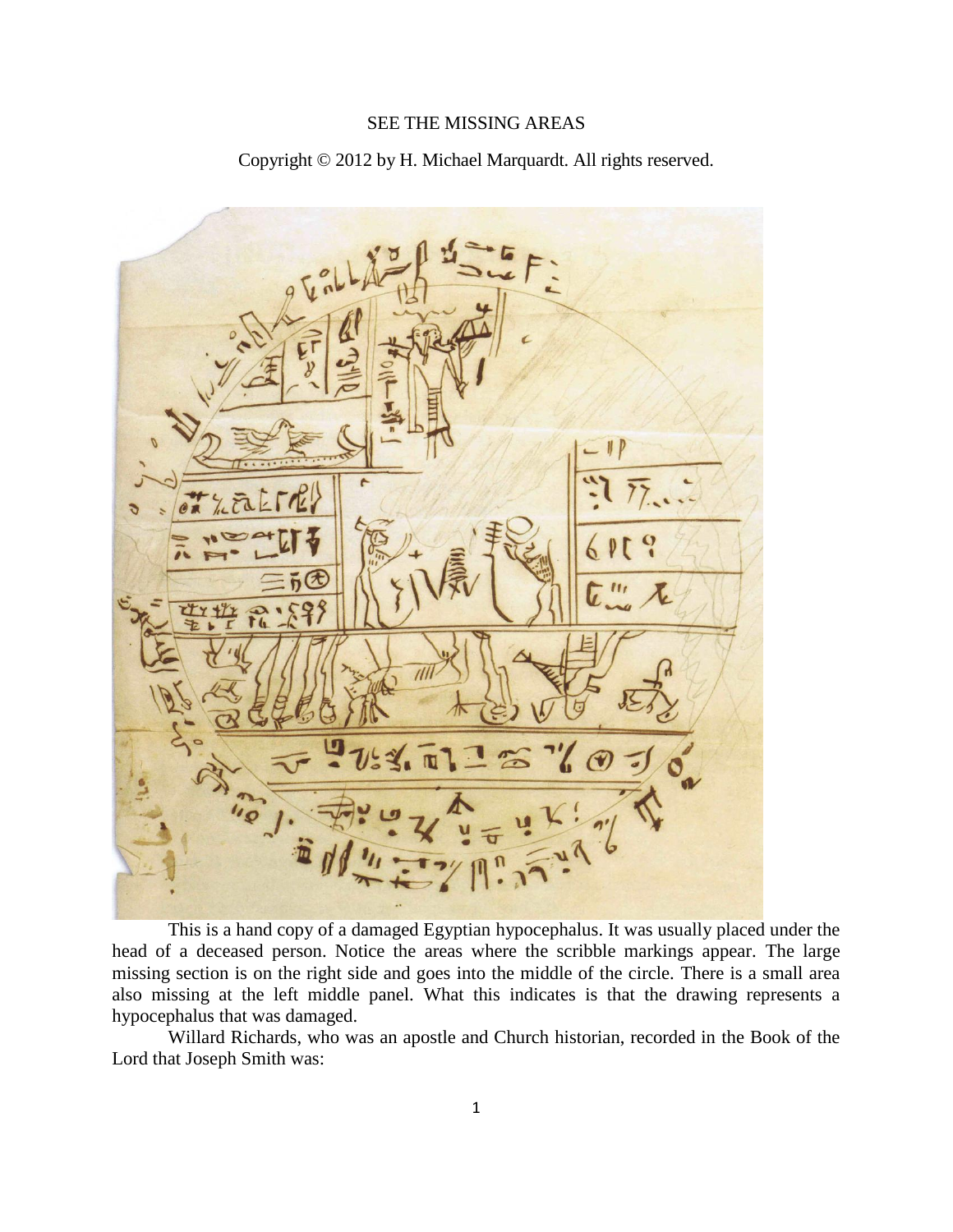## SEE THE MISSING AREAS

Copyright © 2012 by H. Michael Marquardt. All rights reserved.



This is a hand copy of a damaged Egyptian hypocephalus. It was usually placed under the head of a deceased person. Notice the areas where the scribble markings appear. The large missing section is on the right side and goes into the middle of the circle. There is a small area also missing at the left middle panel. What this indicates is that the drawing represents a hypocephalus that was damaged.

Willard Richards, who was an apostle and Church historian, recorded in the Book of the Lord that Joseph Smith was: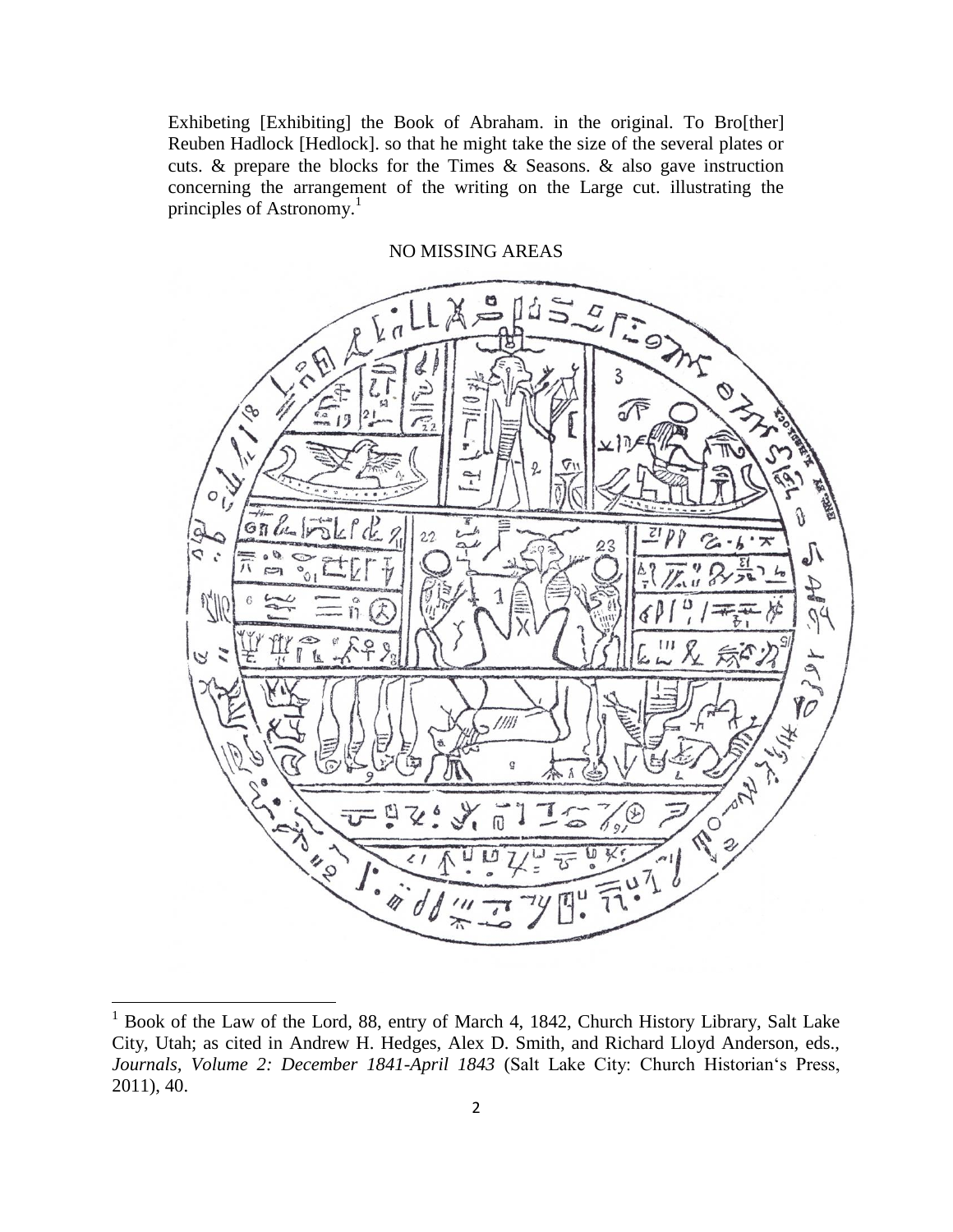Exhibeting [Exhibiting] the Book of Abraham. in the original. To Bro[ther] Reuben Hadlock [Hedlock]. so that he might take the size of the several plates or cuts. & prepare the blocks for the Times & Seasons. & also gave instruction concerning the arrangement of the writing on the Large cut. illustrating the principles of Astronomy.<sup>1</sup>



 $1$  Book of the Law of the Lord, 88, entry of March 4, 1842, Church History Library, Salt Lake City, Utah; as cited in Andrew H. Hedges, Alex D. Smith, and Richard Lloyd Anderson, eds., *Journals, Volume 2: December 1841-April 1843* (Salt Lake City: Church Historian's Press, 2011), 40.

l